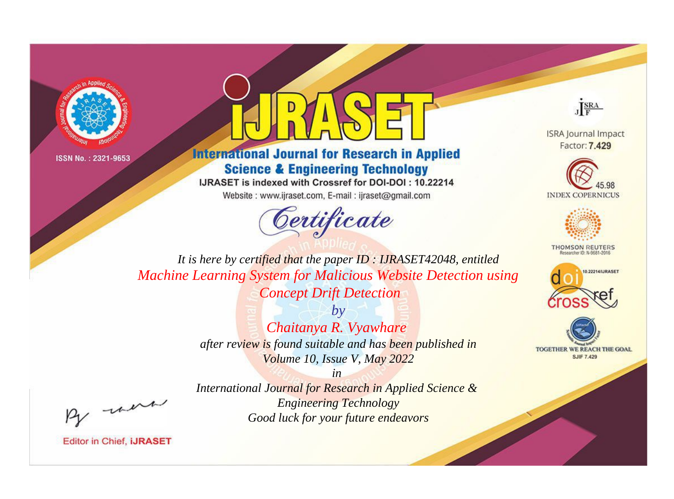



**International Journal for Research in Applied Science & Engineering Technology** 

IJRASET is indexed with Crossref for DOI-DOI: 10.22214

Website: www.ijraset.com, E-mail: ijraset@gmail.com





**ISRA Journal Impact** Factor: 7.429





**THOMSON REUTERS** 



TOGETHER WE REACH THE GOAL **SJIF 7.429** 

*It is here by certified that the paper ID : IJRASET42048, entitled Machine Learning System for Malicious Website Detection using Concept Drift Detection*

> *by Chaitanya R. Vyawhare after review is found suitable and has been published in Volume 10, Issue V, May 2022*

, un

*International Journal for Research in Applied Science & Engineering Technology Good luck for your future endeavors*

*in*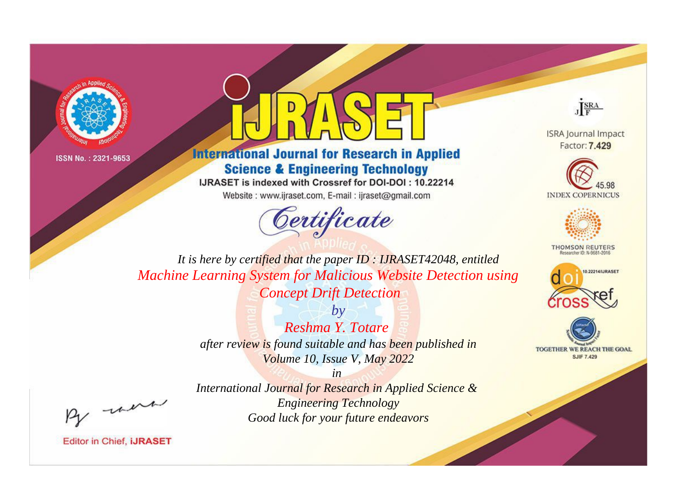



**International Journal for Research in Applied Science & Engineering Technology** 

IJRASET is indexed with Crossref for DOI-DOI: 10.22214

Website: www.ijraset.com, E-mail: ijraset@gmail.com





**ISRA Journal Impact** Factor: 7.429





**THOMSON REUTERS** 



TOGETHER WE REACH THE GOAL **SJIF 7.429** 

*It is here by certified that the paper ID : IJRASET42048, entitled Machine Learning System for Malicious Website Detection using Concept Drift Detection*

> *by Reshma Y. Totare after review is found suitable and has been published in Volume 10, Issue V, May 2022*

, un

*International Journal for Research in Applied Science & Engineering Technology Good luck for your future endeavors*

*in*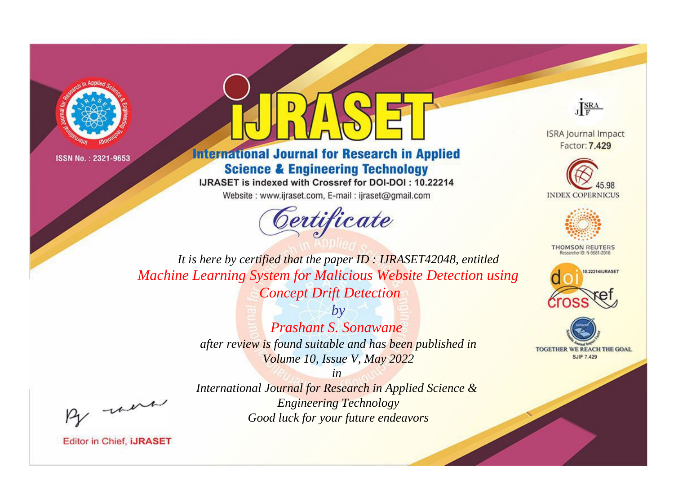



**International Journal for Research in Applied Science & Engineering Technology** 

IJRASET is indexed with Crossref for DOI-DOI: 10.22214

Website: www.ijraset.com, E-mail: ijraset@gmail.com





**ISRA Journal Impact** Factor: 7.429





**THOMSON REUTERS** 



TOGETHER WE REACH THE GOAL **SJIF 7.429** 

*It is here by certified that the paper ID : IJRASET42048, entitled Machine Learning System for Malicious Website Detection using Concept Drift Detection*

> *by Prashant S. Sonawane after review is found suitable and has been published in Volume 10, Issue V, May 2022*

, un

*International Journal for Research in Applied Science & Engineering Technology Good luck for your future endeavors*

*in*